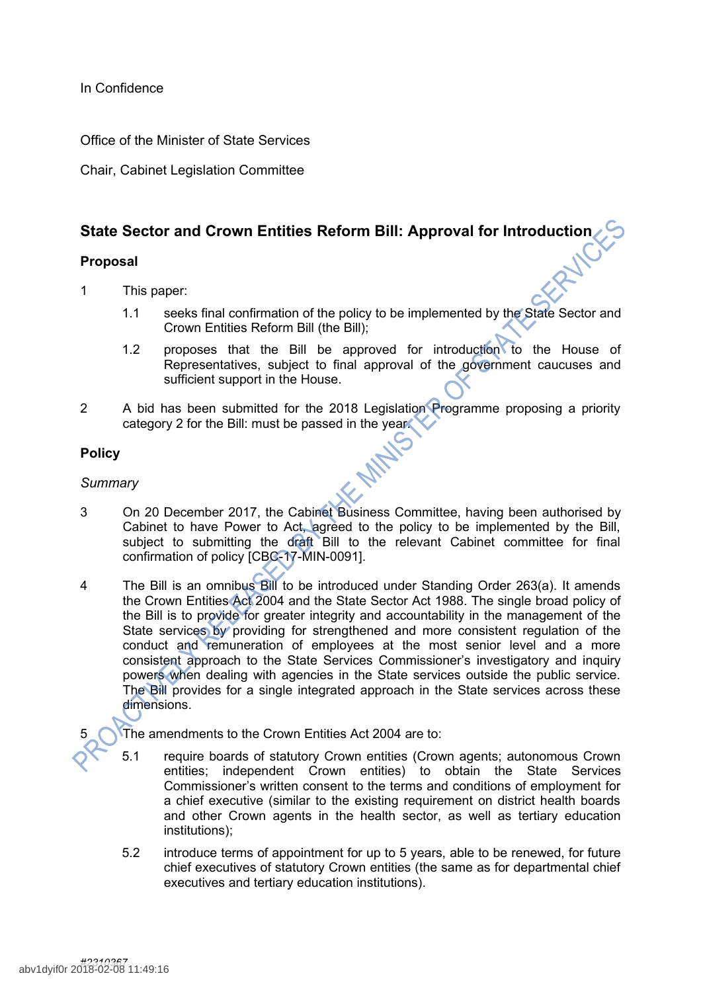In Confidence

Office of the Minister of State Services

Chair, Cabinet Legislation Committee

# **State Sector and Crown Entities Reform Bill: Approval for Introduction**

# **Proposal**

- 1 This paper:
	- 1.1 seeks final confirmation of the policy to be implemented by the State Sector and Crown Entities Reform Bill (the Bill);
	- 1.2 proposes that the Bill be approved for introduction to the House of Representatives, subject to final approval of the government caucuses and sufficient support in the House.
- 2 A bid has been submitted for the 2018 Legislation Programme proposing a priority category 2 for the Bill: must be passed in the year.

# **Policy**

## *Summary*

- 3 On 20 December 2017, the Cabinet Business Committee, having been authorised by Cabinet to have Power to Act, agreed to the policy to be implemented by the Bill, subject to submitting the draft Bill to the relevant Cabinet committee for final confirmation of policy [CBC-17-MIN-0091].
- 4 The Bill is an omnibus Bill to be introduced under Standing Order 263(a). It amends the Crown Entities Act 2004 and the State Sector Act 1988. The single broad policy of the Bill is to provide for greater integrity and accountability in the management of the State services by providing for strengthened and more consistent regulation of the conduct and remuneration of employees at the most senior level and a more consistent approach to the State Services Commissioner's investigatory and inquiry powers when dealing with agencies in the State services outside the public service. The Bill provides for a single integrated approach in the State services across these dimensions.

The amendments to the Crown Entities Act 2004 are to:

- 5.1 require boards of statutory Crown entities (Crown agents; autonomous Crown entities; independent Crown entities) to obtain the State Services Commissioner's written consent to the terms and conditions of employment for a chief executive (similar to the existing requirement on district health boards and other Crown agents in the health sector, as well as tertiary education institutions);
- 5.2 introduce terms of appointment for up to 5 years, able to be renewed, for future chief executives of statutory Crown entities (the same as for departmental chief executives and tertiary education institutions).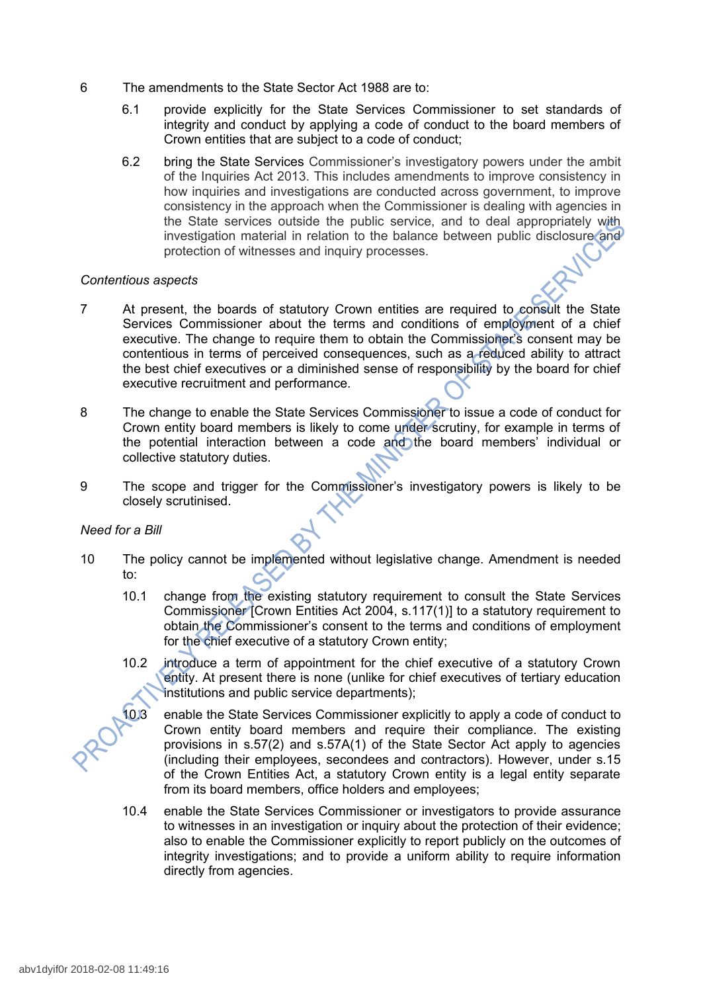- 6 The amendments to the State Sector Act 1988 are to:
	- 6.1 provide explicitly for the State Services Commissioner to set standards of integrity and conduct by applying a code of conduct to the board members of Crown entities that are subject to a code of conduct;
	- 6.2 bring the State Services Commissioner's investigatory powers under the ambit of the Inquiries Act 2013. This includes amendments to improve consistency in how inquiries and investigations are conducted across government, to improve consistency in the approach when the Commissioner is dealing with agencies in the State services outside the public service, and to deal appropriately with investigation material in relation to the balance between public disclosure and protection of witnesses and inquiry processes.

## *Contentious aspects*

- 7 At present, the boards of statutory Crown entities are required to consult the State Services Commissioner about the terms and conditions of employment of a chief executive. The change to require them to obtain the Commissioner's consent may be contentious in terms of perceived consequences, such as a reduced ability to attract the best chief executives or a diminished sense of responsibility by the board for chief executive recruitment and performance.
- 8 The change to enable the State Services Commissioner to issue a code of conduct for Crown entity board members is likely to come under scrutiny, for example in terms of the potential interaction between a code and the board members' individual or collective statutory duties.
- 9 The scope and trigger for the Commissioner's investigatory powers is likely to be closely scrutinised.

# *Need for a Bill*

- 10 The policy cannot be implemented without legislative change. Amendment is needed to:
	- 10.1 change from the existing statutory requirement to consult the State Services Commissioner [Crown Entities Act 2004, s.117(1)] to a statutory requirement to obtain the Commissioner's consent to the terms and conditions of employment for the chief executive of a statutory Crown entity;
	- 10.2 introduce a term of appointment for the chief executive of a statutory Crown entity. At present there is none (unlike for chief executives of tertiary education institutions and public service departments);

10.3 enable the State Services Commissioner explicitly to apply a code of conduct to Crown entity board members and require their compliance. The existing provisions in s.57(2) and s.57A(1) of the State Sector Act apply to agencies (including their employees, secondees and contractors). However, under s.15 of the Crown Entities Act, a statutory Crown entity is a legal entity separate from its board members, office holders and employees;

10.4 enable the State Services Commissioner or investigators to provide assurance to witnesses in an investigation or inquiry about the protection of their evidence; also to enable the Commissioner explicitly to report publicly on the outcomes of integrity investigations; and to provide a uniform ability to require information directly from agencies.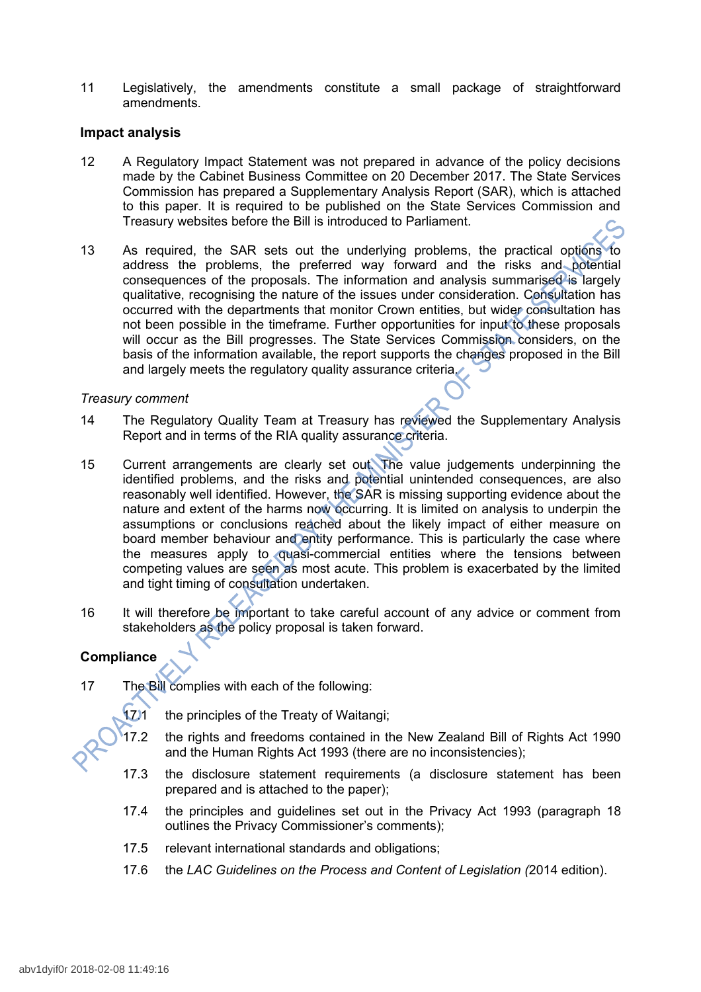11 Legislatively, the amendments constitute a small package of straightforward amendments.

## **Impact analysis**

- 12 A Regulatory Impact Statement was not prepared in advance of the policy decisions made by the Cabinet Business Committee on 20 December 2017. The State Services Commission has prepared a Supplementary Analysis Report (SAR), which is attached to this paper. It is required to be published on the State Services Commission and Treasury websites before the Bill is introduced to Parliament.
- 13 As required, the SAR sets out the underlying problems, the practical options to address the problems, the preferred way forward and the risks and potential consequences of the proposals. The information and analysis summarised is largely qualitative, recognising the nature of the issues under consideration. Consultation has occurred with the departments that monitor Crown entities, but wider consultation has not been possible in the timeframe. Further opportunities for input to these proposals will occur as the Bill progresses. The State Services Commission considers, on the basis of the information available, the report supports the changes proposed in the Bill and largely meets the regulatory quality assurance criteria.

## *Treasury comment*

- 14 The Regulatory Quality Team at Treasury has reviewed the Supplementary Analysis Report and in terms of the RIA quality assurance criteria.
- 15 Current arrangements are clearly set out. The value judgements underpinning the identified problems, and the risks and potential unintended consequences, are also reasonably well identified. However, the SAR is missing supporting evidence about the nature and extent of the harms now occurring. It is limited on analysis to underpin the assumptions or conclusions reached about the likely impact of either measure on board member behaviour and entity performance. This is particularly the case where the measures apply to quasi-commercial entities where the tensions between competing values are seen as most acute. This problem is exacerbated by the limited and tight timing of consultation undertaken.
- 16 It will therefore be important to take careful account of any advice or comment from stakeholders as the policy proposal is taken forward.

# **Compliance**

17 The Bill complies with each of the following:



171 the principles of the Treaty of Waitangi;

- 17.2 the rights and freedoms contained in the New Zealand Bill of Rights Act 1990 and the Human Rights Act 1993 (there are no inconsistencies);
- 17.3 the disclosure statement requirements (a disclosure statement has been prepared and is attached to the paper);
- 17.4 the principles and guidelines set out in the Privacy Act 1993 (paragraph 18 outlines the Privacy Commissioner's comments);
- 17.5 relevant international standards and obligations;
- 17.6 the *LAC Guidelines on the Process and Content of Legislation (*2014 edition).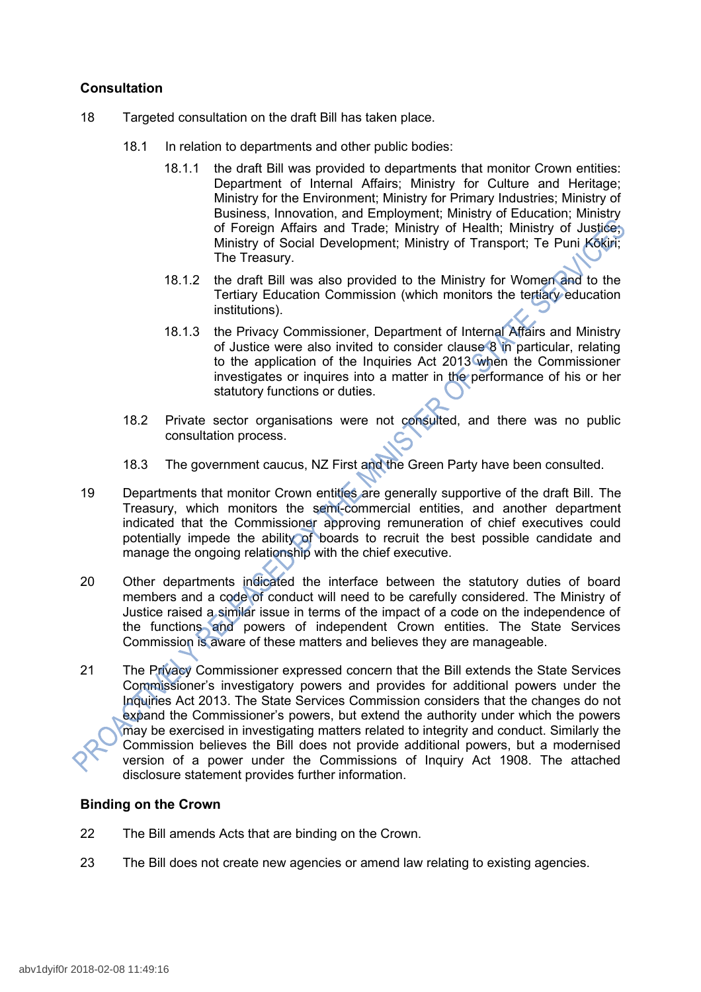# **Consultation**

- 18 Targeted consultation on the draft Bill has taken place.
	- 18.1 In relation to departments and other public bodies:
		- 18.1.1 the draft Bill was provided to departments that monitor Crown entities: Department of Internal Affairs; Ministry for Culture and Heritage; Ministry for the Environment; Ministry for Primary Industries; Ministry of Business, Innovation, and Employment; Ministry of Education; Ministry of Foreign Affairs and Trade; Ministry of Health; Ministry of Justice; Ministry of Social Development; Ministry of Transport; Te Puni Kōkiri; The Treasury.
		- 18.1.2 the draft Bill was also provided to the Ministry for Women and to the Tertiary Education Commission (which monitors the tertiary education institutions).
		- 18.1.3 the Privacy Commissioner, Department of Internal Affairs and Ministry of Justice were also invited to consider clause 8 in particular, relating to the application of the Inquiries Act 2013 when the Commissioner investigates or inquires into a matter in the performance of his or her statutory functions or duties.
	- 18.2 Private sector organisations were not consulted, and there was no public consultation process.
	- 18.3 The government caucus, NZ First and the Green Party have been consulted.
- 19 Departments that monitor Crown entities are generally supportive of the draft Bill. The Treasury, which monitors the semi-commercial entities, and another department indicated that the Commissioner approving remuneration of chief executives could potentially impede the ability of boards to recruit the best possible candidate and manage the ongoing relationship with the chief executive.
- 20 Other departments indicated the interface between the statutory duties of board members and a code of conduct will need to be carefully considered. The Ministry of Justice raised a similar issue in terms of the impact of a code on the independence of the functions and powers of independent Crown entities. The State Services Commission is aware of these matters and believes they are manageable.
- 21 The Privacy Commissioner expressed concern that the Bill extends the State Services Commissioner's investigatory powers and provides for additional powers under the Inquiries Act 2013. The State Services Commission considers that the changes do not expand the Commissioner's powers, but extend the authority under which the powers may be exercised in investigating matters related to integrity and conduct. Similarly the Commission believes the Bill does not provide additional powers, but a modernised version of a power under the Commissions of Inquiry Act 1908. The attached disclosure statement provides further information.

# **Binding on the Crown**

- 22 The Bill amends Acts that are binding on the Crown.
- 23 The Bill does not create new agencies or amend law relating to existing agencies.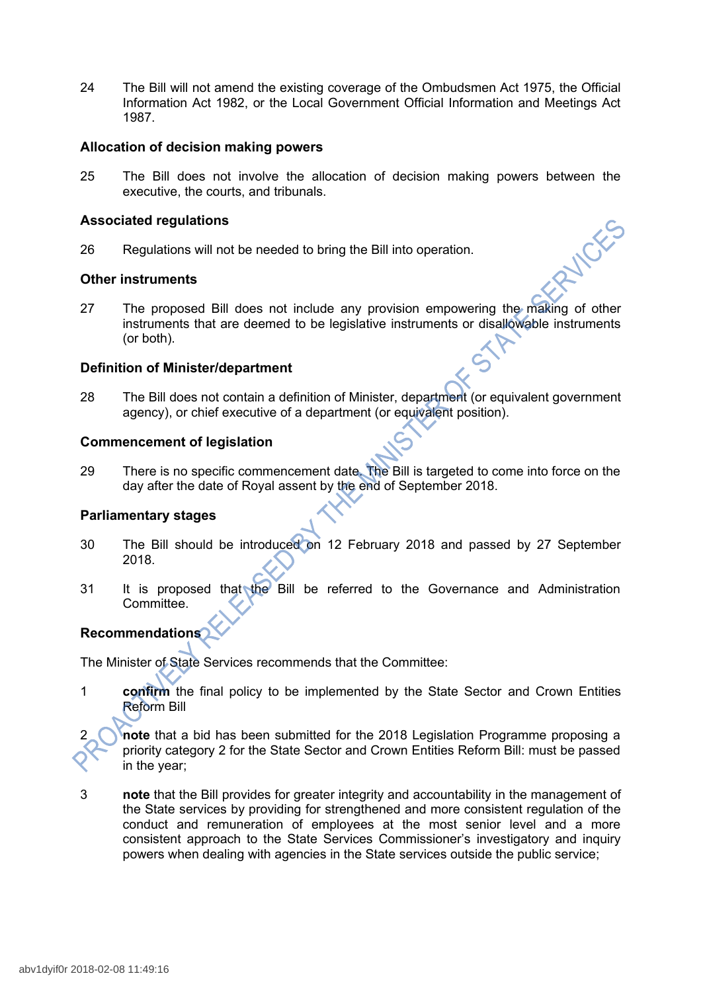24 The Bill will not amend the existing coverage of the Ombudsmen Act 1975, the Official Information Act 1982, or the Local Government Official Information and Meetings Act 1987.

## **Allocation of decision making powers**

25 The Bill does not involve the allocation of decision making powers between the executive, the courts, and tribunals.

## **Associated regulations**

26 Regulations will not be needed to bring the Bill into operation.

## **Other instruments**

27 The proposed Bill does not include any provision empowering the making of other instruments that are deemed to be legislative instruments or disallowable instruments (or both).

## **Definition of Minister/department**

28 The Bill does not contain a definition of Minister, department (or equivalent government agency), or chief executive of a department (or equivalent position).

## **Commencement of legislation**

29 There is no specific commencement date. The Bill is targeted to come into force on the day after the date of Royal assent by the end of September 2018.

#### **Parliamentary stages**

- 30 The Bill should be introduced on 12 February 2018 and passed by 27 September 2018.
- 31 It is proposed that the Bill be referred to the Governance and Administration Committee.

# **Recommendations**

The Minister of State Services recommends that the Committee:

1 **confirm** the final policy to be implemented by the State Sector and Crown Entities Reform Bill

2 **note** that a bid has been submitted for the 2018 Legislation Programme proposing a priority category 2 for the State Sector and Crown Entities Reform Bill: must be passed in the year;

3 **note** that the Bill provides for greater integrity and accountability in the management of the State services by providing for strengthened and more consistent regulation of the conduct and remuneration of employees at the most senior level and a more consistent approach to the State Services Commissioner's investigatory and inquiry powers when dealing with agencies in the State services outside the public service;